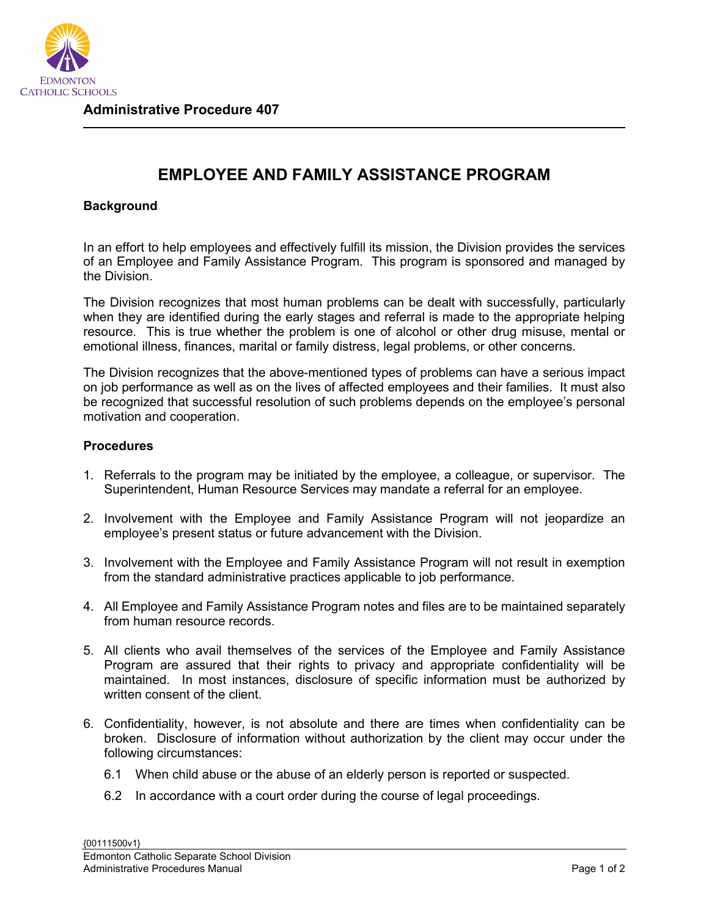

## **EMPLOYEE AND FAMILY ASSISTANCE PROGRAM**

## **Background**

In an effort to help employees and effectively fulfill its mission, the Division provides the services of an Employee and Family Assistance Program. This program is sponsored and managed by the Division.

The Division recognizes that most human problems can be dealt with successfully, particularly when they are identified during the early stages and referral is made to the appropriate helping resource. This is true whether the problem is one of alcohol or other drug misuse, mental or emotional illness, finances, marital or family distress, legal problems, or other concerns.

The Division recognizes that the above-mentioned types of problems can have a serious impact on job performance as well as on the lives of affected employees and their families. It must also be recognized that successful resolution of such problems depends on the employee's personal motivation and cooperation.

## **Procedures**

- 1. Referrals to the program may be initiated by the employee, a colleague, or supervisor. The Superintendent, Human Resource Services may mandate a referral for an employee.
- 2. Involvement with the Employee and Family Assistance Program will not jeopardize an employee's present status or future advancement with the Division.
- 3. Involvement with the Employee and Family Assistance Program will not result in exemption from the standard administrative practices applicable to job performance.
- 4. All Employee and Family Assistance Program notes and files are to be maintained separately from human resource records.
- 5. All clients who avail themselves of the services of the Employee and Family Assistance Program are assured that their rights to privacy and appropriate confidentiality will be maintained. In most instances, disclosure of specific information must be authorized by written consent of the client.
- 6. Confidentiality, however, is not absolute and there are times when confidentiality can be broken. Disclosure of information without authorization by the client may occur under the following circumstances:
	- 6.1 When child abuse or the abuse of an elderly person is reported or suspected.
	- 6.2 In accordance with a court order during the course of legal proceedings.